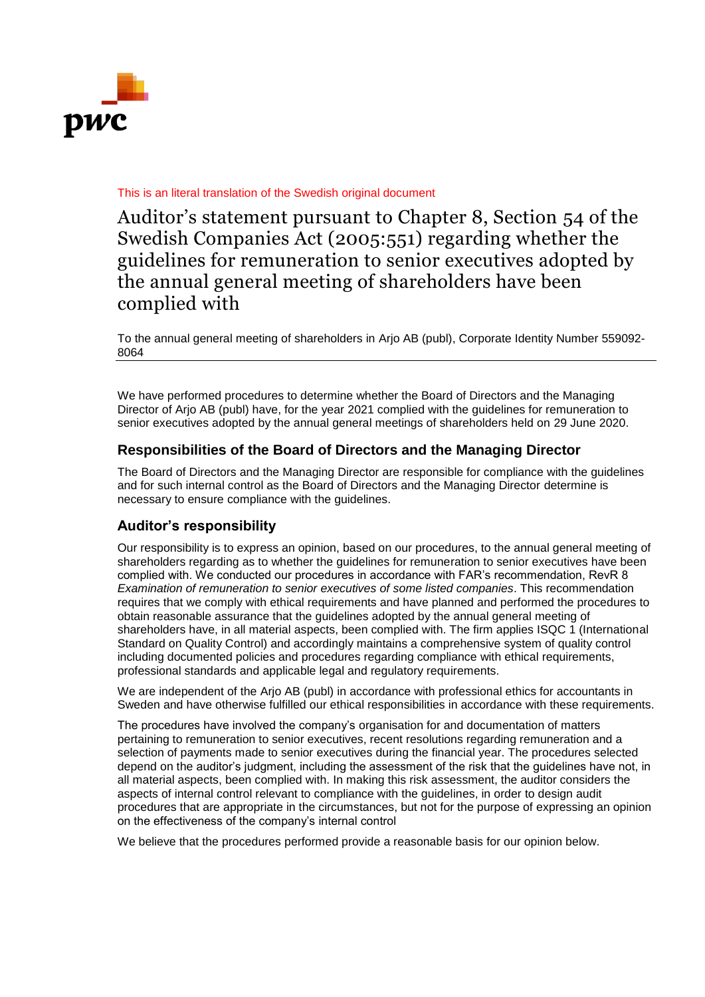

## This is an literal translation of the Swedish original document

Auditor's statement pursuant to Chapter 8, Section 54 of the Swedish Companies Act (2005:551) regarding whether the guidelines for remuneration to senior executives adopted by the annual general meeting of shareholders have been complied with

To the annual general meeting of shareholders in Arjo AB (publ), Corporate Identity Number 559092- 8064

We have performed procedures to determine whether the Board of Directors and the Managing Director of Arjo AB (publ) have, for the year 2021 complied with the guidelines for remuneration to senior executives adopted by the annual general meetings of shareholders held on 29 June 2020.

## **Responsibilities of the Board of Directors and the Managing Director**

The Board of Directors and the Managing Director are responsible for compliance with the guidelines and for such internal control as the Board of Directors and the Managing Director determine is necessary to ensure compliance with the guidelines.

## **Auditor's responsibility**

Our responsibility is to express an opinion, based on our procedures, to the annual general meeting of shareholders regarding as to whether the guidelines for remuneration to senior executives have been complied with. We conducted our procedures in accordance with FAR's recommendation, RevR 8 *Examination of remuneration to senior executives of some listed companies*. This recommendation requires that we comply with ethical requirements and have planned and performed the procedures to obtain reasonable assurance that the guidelines adopted by the annual general meeting of shareholders have, in all material aspects, been complied with. The firm applies ISQC 1 (International Standard on Quality Control) and accordingly maintains a comprehensive system of quality control including documented policies and procedures regarding compliance with ethical requirements, professional standards and applicable legal and regulatory requirements.

We are independent of the Arjo AB (publ) in accordance with professional ethics for accountants in Sweden and have otherwise fulfilled our ethical responsibilities in accordance with these requirements.

The procedures have involved the company's organisation for and documentation of matters pertaining to remuneration to senior executives, recent resolutions regarding remuneration and a selection of payments made to senior executives during the financial year. The procedures selected depend on the auditor's judgment, including the assessment of the risk that the guidelines have not, in all material aspects, been complied with. In making this risk assessment, the auditor considers the aspects of internal control relevant to compliance with the guidelines, in order to design audit procedures that are appropriate in the circumstances, but not for the purpose of expressing an opinion on the effectiveness of the company's internal control

We believe that the procedures performed provide a reasonable basis for our opinion below.